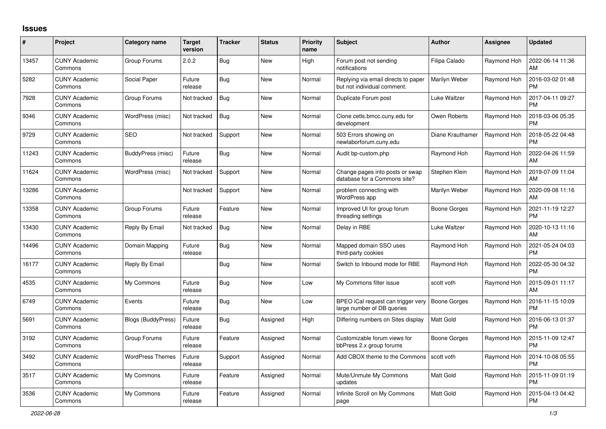## **Issues**

| #     | Project                         | Category name           | <b>Target</b><br>version | <b>Tracker</b> | <b>Status</b> | <b>Priority</b><br>name | <b>Subject</b>                                                                  | <b>Author</b>    | <b>Assignee</b> | <b>Updated</b>                |
|-------|---------------------------------|-------------------------|--------------------------|----------------|---------------|-------------------------|---------------------------------------------------------------------------------|------------------|-----------------|-------------------------------|
| 13457 | <b>CUNY Academic</b><br>Commons | Group Forums            | 2.0.2                    | <b>Bug</b>     | <b>New</b>    | High                    | Forum post not sending<br>notifications                                         | Filipa Calado    | Raymond Hoh     | 2022-06-14 11:36<br>AM        |
| 5282  | <b>CUNY Academic</b><br>Commons | Social Paper            | Future<br>release        | <b>Bug</b>     | <b>New</b>    | Normal                  | Replying via email directs to paper<br>but not individual comment.              | Marilyn Weber    | Raymond Hoh     | 2016-03-02 01:48<br><b>PM</b> |
| 7928  | <b>CUNY Academic</b><br>Commons | Group Forums            | Not tracked              | <b>Bug</b>     | New           | Normal                  | Duplicate Forum post                                                            | Luke Waltzer     | Raymond Hoh     | 2017-04-11 09:27<br><b>PM</b> |
| 9346  | <b>CUNY Academic</b><br>Commons | WordPress (misc)        | Not tracked              | <b>Bug</b>     | <b>New</b>    | Normal                  | Clone cetls.bmcc.cuny.edu for<br>development                                    | Owen Roberts     | Raymond Hoh     | 2018-03-06 05:35<br><b>PM</b> |
| 9729  | <b>CUNY Academic</b><br>Commons | <b>SEO</b>              | Not tracked              | Support        | New           | Normal                  | 503 Errors showing on<br>newlaborforum.cuny.edu                                 | Diane Krauthamer | Raymond Hoh     | 2018-05-22 04:48<br><b>PM</b> |
| 11243 | <b>CUNY Academic</b><br>Commons | BuddyPress (misc)       | Future<br>release        | <b>Bug</b>     | <b>New</b>    | Normal                  | Audit bp-custom.php                                                             | Raymond Hoh      | Raymond Hoh     | 2022-04-26 11:59<br>AM        |
| 11624 | <b>CUNY Academic</b><br>Commons | WordPress (misc)        | Not tracked              | Support        | New           | Normal                  | Change pages into posts or swap<br>database for a Commons site?                 | Stephen Klein    | Raymond Hoh     | 2019-07-09 11:04<br>AM        |
| 13286 | <b>CUNY Academic</b><br>Commons |                         | Not tracked              | Support        | <b>New</b>    | Normal                  | problem connecting with<br>WordPress app                                        | Marilyn Weber    | Raymond Hoh     | 2020-09-08 11:16<br>AM        |
| 13358 | <b>CUNY Academic</b><br>Commons | Group Forums            | Future<br>release        | Feature        | New           | Normal                  | Improved UI for group forum<br>threading settings                               | Boone Gorges     | Raymond Hoh     | 2021-11-19 12:27<br><b>PM</b> |
| 13430 | <b>CUNY Academic</b><br>Commons | Reply By Email          | Not tracked              | Bug            | <b>New</b>    | Normal                  | Delay in RBE                                                                    | Luke Waltzer     | Raymond Hoh     | 2020-10-13 11:16<br>AM        |
| 14496 | <b>CUNY Academic</b><br>Commons | Domain Mapping          | Future<br>release        | <b>Bug</b>     | New           | Normal                  | Mapped domain SSO uses<br>third-party cookies                                   | Raymond Hoh      | Raymond Hoh     | 2021-05-24 04:03<br><b>PM</b> |
| 16177 | <b>CUNY Academic</b><br>Commons | Reply By Email          |                          | <b>Bug</b>     | <b>New</b>    | Normal                  | Switch to Inbound mode for RBE                                                  | Raymond Hoh      | Raymond Hoh     | 2022-05-30 04:32<br><b>PM</b> |
| 4535  | <b>CUNY Academic</b><br>Commons | My Commons              | Future<br>release        | <b>Bug</b>     | New           | Low                     | My Commons filter issue                                                         | scott voth       | Raymond Hoh     | 2015-09-01 11:17<br>AM        |
| 6749  | <b>CUNY Academic</b><br>Commons | Events                  | Future<br>release        | <b>Bug</b>     | <b>New</b>    | Low                     | BPEO iCal request can trigger very   Boone Gorges<br>large number of DB queries |                  | Raymond Hoh     | 2016-11-15 10:09<br><b>PM</b> |
| 5691  | <b>CUNY Academic</b><br>Commons | Blogs (BuddyPress)      | Future<br>release        | <b>Bug</b>     | Assigned      | High                    | Differing numbers on Sites display                                              | Matt Gold        | Raymond Hoh     | 2016-06-13 01:37<br><b>PM</b> |
| 3192  | <b>CUNY Academic</b><br>Commons | Group Forums            | Future<br>release        | Feature        | Assigned      | Normal                  | Customizable forum views for<br>bbPress 2.x group forums                        | Boone Gorges     | Raymond Hoh     | 2015-11-09 12:47<br><b>PM</b> |
| 3492  | <b>CUNY Academic</b><br>Commons | <b>WordPress Themes</b> | Future<br>release        | Support        | Assigned      | Normal                  | Add CBOX theme to the Commons                                                   | scott voth       | Raymond Hoh     | 2014-10-08 05:55<br><b>PM</b> |
| 3517  | <b>CUNY Academic</b><br>Commons | My Commons              | Future<br>release        | Feature        | Assigned      | Normal                  | Mute/Unmute My Commons<br>updates                                               | Matt Gold        | Raymond Hoh     | 2015-11-09 01:19<br><b>PM</b> |
| 3536  | <b>CUNY Academic</b><br>Commons | My Commons              | Future<br>release        | Feature        | Assigned      | Normal                  | Infinite Scroll on My Commons<br>page                                           | Matt Gold        | Raymond Hoh     | 2015-04-13 04:42<br><b>PM</b> |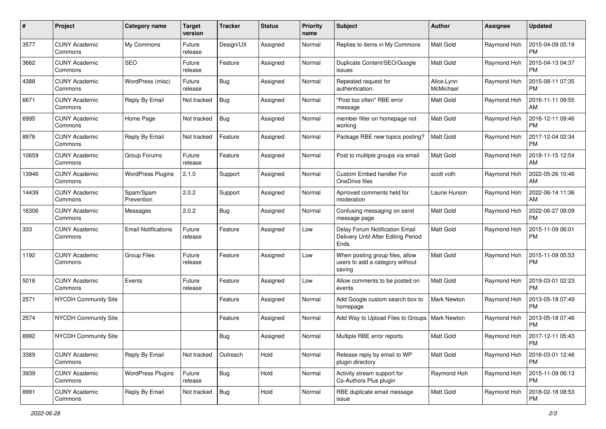| $\pmb{\#}$ | Project                         | <b>Category name</b>       | <b>Target</b><br>version | <b>Tracker</b> | <b>Status</b> | <b>Priority</b><br>name | Subject                                                                       | Author                  | <b>Assignee</b> | <b>Updated</b>                |
|------------|---------------------------------|----------------------------|--------------------------|----------------|---------------|-------------------------|-------------------------------------------------------------------------------|-------------------------|-----------------|-------------------------------|
| 3577       | <b>CUNY Academic</b><br>Commons | My Commons                 | Future<br>release        | Design/UX      | Assigned      | Normal                  | Replies to items in My Commons                                                | Matt Gold               | Raymond Hoh     | 2015-04-09 05:19<br><b>PM</b> |
| 3662       | <b>CUNY Academic</b><br>Commons | <b>SEO</b>                 | Future<br>release        | Feature        | Assigned      | Normal                  | Duplicate Content/SEO/Google<br>issues                                        | Matt Gold               | Raymond Hoh     | 2015-04-13 04:37<br><b>PM</b> |
| 4388       | <b>CUNY Academic</b><br>Commons | WordPress (misc)           | Future<br>release        | Bug            | Assigned      | Normal                  | Repeated request for<br>authentication.                                       | Alice.Lynn<br>McMichael | Raymond Hoh     | 2015-08-11 07:35<br><b>PM</b> |
| 6671       | <b>CUNY Academic</b><br>Commons | Reply By Email             | Not tracked              | Bug            | Assigned      | Normal                  | "Post too often" RBE error<br>message                                         | Matt Gold               | Raymond Hoh     | 2016-11-11 09:55<br>AM        |
| 6995       | <b>CUNY Academic</b><br>Commons | Home Page                  | Not tracked              | <b>Bug</b>     | Assigned      | Normal                  | member filter on homepage not<br>working                                      | <b>Matt Gold</b>        | Raymond Hoh     | 2016-12-11 09:46<br><b>PM</b> |
| 8976       | <b>CUNY Academic</b><br>Commons | Reply By Email             | Not tracked              | Feature        | Assigned      | Normal                  | Package RBE new topics posting?                                               | Matt Gold               | Raymond Hoh     | 2017-12-04 02:34<br><b>PM</b> |
| 10659      | <b>CUNY Academic</b><br>Commons | Group Forums               | Future<br>release        | Feature        | Assigned      | Normal                  | Post to multiple groups via email                                             | Matt Gold               | Raymond Hoh     | 2018-11-15 12:54<br>AM        |
| 13946      | <b>CUNY Academic</b><br>Commons | <b>WordPress Plugins</b>   | 2.1.0                    | Support        | Assigned      | Normal                  | Custom Embed handler For<br>OneDrive files                                    | scott voth              | Raymond Hoh     | 2022-05-26 10:46<br>AM        |
| 14439      | <b>CUNY Academic</b><br>Commons | Spam/Spam<br>Prevention    | 2.0.2                    | Support        | Assigned      | Normal                  | Aprroved comments held for<br>moderation                                      | Laurie Hurson           | Raymond Hoh     | 2022-06-14 11:36<br>AM        |
| 16306      | <b>CUNY Academic</b><br>Commons | Messages                   | 2.0.2                    | Bug            | Assigned      | Normal                  | Confusing messaging on send<br>message page                                   | <b>Matt Gold</b>        | Raymond Hoh     | 2022-06-27 08:09<br><b>PM</b> |
| 333        | <b>CUNY Academic</b><br>Commons | <b>Email Notifications</b> | Future<br>release        | Feature        | Assigned      | Low                     | Delay Forum Notification Email<br>Delivery Until After Editing Period<br>Ends | Matt Gold               | Raymond Hoh     | 2015-11-09 06:01<br><b>PM</b> |
| 1192       | <b>CUNY Academic</b><br>Commons | Group Files                | Future<br>release        | Feature        | Assigned      | Low                     | When posting group files, allow<br>users to add a category without<br>saving  | Matt Gold               | Raymond Hoh     | 2015-11-09 05:53<br><b>PM</b> |
| 5016       | <b>CUNY Academic</b><br>Commons | Events                     | Future<br>release        | Feature        | Assigned      | Low                     | Allow comments to be posted on<br>events                                      | <b>Matt Gold</b>        | Raymond Hoh     | 2019-03-01 02:23<br><b>PM</b> |
| 2571       | NYCDH Community Site            |                            |                          | Feature        | Assigned      | Normal                  | Add Google custom search box to<br>homepage                                   | <b>Mark Newton</b>      | Raymond Hoh     | 2013-05-18 07:49<br>PM        |
| 2574       | NYCDH Community Site            |                            |                          | Feature        | Assigned      | Normal                  | Add Way to Upload Files to Groups                                             | <b>Mark Newton</b>      | Raymond Hoh     | 2013-05-18 07:46<br><b>PM</b> |
| 8992       | NYCDH Community Site            |                            |                          | <b>Bug</b>     | Assigned      | Normal                  | Multiple RBE error reports                                                    | <b>Matt Gold</b>        | Raymond Hoh     | 2017-12-11 05:43<br>PM        |
| 3369       | <b>CUNY Academic</b><br>Commons | Reply By Email             | Not tracked              | Outreach       | Hold          | Normal                  | Release reply by email to WP<br>plugin directory                              | Matt Gold               | Raymond Hoh     | 2016-03-01 12:46<br>PM        |
| 3939       | <b>CUNY Academic</b><br>Commons | <b>WordPress Plugins</b>   | Future<br>release        | Bug            | Hold          | Normal                  | Activity stream support for<br>Co-Authors Plus plugin                         | Raymond Hoh             | Raymond Hoh     | 2015-11-09 06:13<br>PM        |
| 8991       | <b>CUNY Academic</b><br>Commons | Reply By Email             | Not tracked              | <b>Bug</b>     | Hold          | Normal                  | RBE duplicate email message<br>issue                                          | Matt Gold               | Raymond Hoh     | 2018-02-18 08:53<br>PM        |